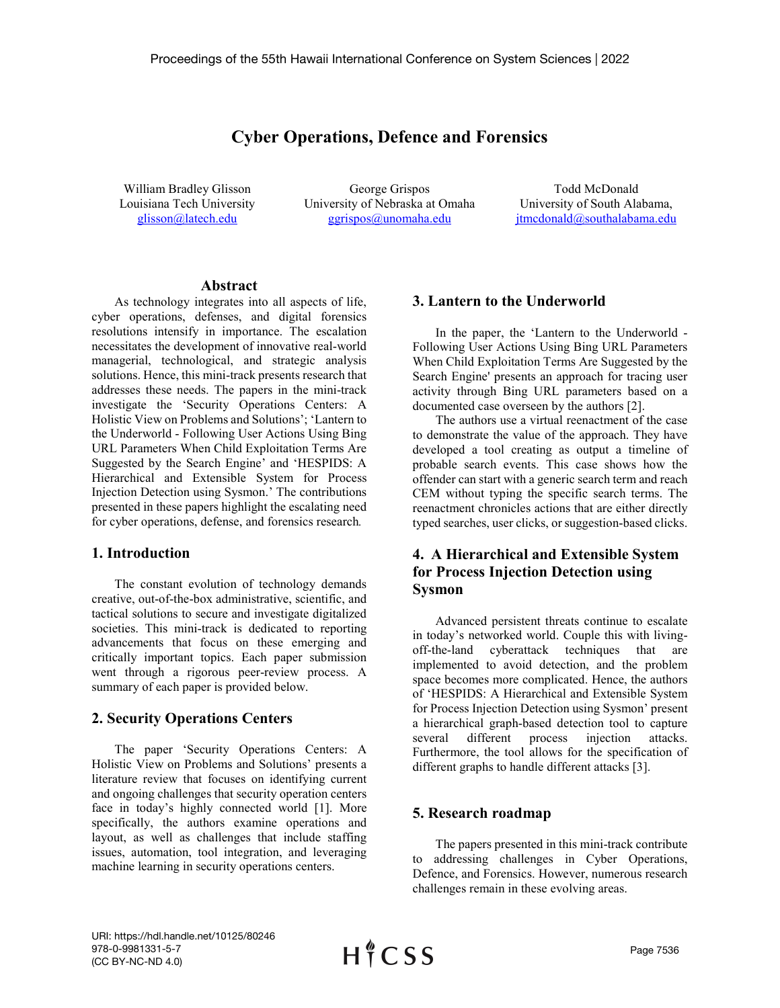# **Cyber Operations, Defence and Forensics**

William Bradley Glisson Louisiana Tech University [glisson@latech.edu](mailto:glisson@latech.edu)

George Grispos University of Nebraska at Omaha [ggrispos@unomaha.edu](mailto:ggrispos@unomaha.edu)

Todd McDonald University of South Alabama, jtmcdonald@southalabama.edu

#### **Abstract**

As technology integrates into all aspects of life, cyber operations, defenses, and digital forensics resolutions intensify in importance. The escalation necessitates the development of innovative real-world managerial, technological, and strategic analysis solutions. Hence, this mini-track presents research that addresses these needs. The papers in the mini-track investigate the 'Security Operations Centers: A Holistic View on Problems and Solutions'; 'Lantern to the Underworld - Following User Actions Using Bing URL Parameters When Child Exploitation Terms Are Suggested by the Search Engine' and 'HESPIDS: A Hierarchical and Extensible System for Process Injection Detection using Sysmon.' The contributions presented in these papers highlight the escalating need for cyber operations, defense, and forensics research*.*

#### **1. Introduction**

The constant evolution of technology demands creative, out-of-the-box administrative, scientific, and tactical solutions to secure and investigate digitalized societies. This mini-track is dedicated to reporting advancements that focus on these emerging and critically important topics. Each paper submission went through a rigorous peer-review process. A summary of each paper is provided below.

### **2. Security Operations Centers**

The paper 'Security Operations Centers: A Holistic View on Problems and Solutions' presents a literature review that focuses on identifying current and ongoing challenges that security operation centers face in today's highly connected world [1]. More specifically, the authors examine operations and layout, as well as challenges that include staffing issues, automation, tool integration, and leveraging machine learning in security operations centers.

### **3. Lantern to the Underworld**

In the paper, the 'Lantern to the Underworld - Following User Actions Using Bing URL Parameters When Child Exploitation Terms Are Suggested by the Search Engine' presents an approach for tracing user activity through Bing URL parameters based on a documented case overseen by the authors [2].

The authors use a virtual reenactment of the case to demonstrate the value of the approach. They have developed a tool creating as output a timeline of probable search events. This case shows how the offender can start with a generic search term and reach CEM without typing the specific search terms. The reenactment chronicles actions that are either directly typed searches, user clicks, or suggestion-based clicks.

## **4. A Hierarchical and Extensible System for Process Injection Detection using Sysmon**

Advanced persistent threats continue to escalate in today's networked world. Couple this with livingoff-the-land cyberattack techniques that are implemented to avoid detection, and the problem space becomes more complicated. Hence, the authors of 'HESPIDS: A Hierarchical and Extensible System for Process Injection Detection using Sysmon' present a hierarchical graph-based detection tool to capture several different process injection attacks. Furthermore, the tool allows for the specification of different graphs to handle different attacks [3].

### **5. Research roadmap**

The papers presented in this mini-track contribute to addressing challenges in Cyber Operations, Defence, and Forensics. However, numerous research challenges remain in these evolving areas.